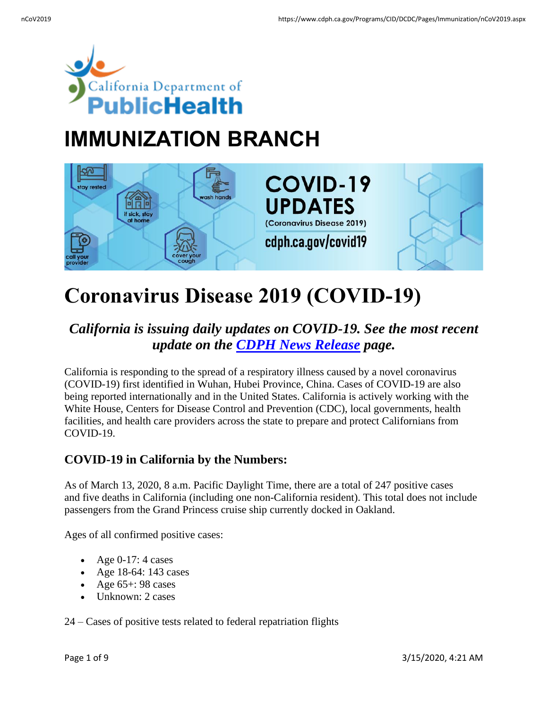

# **IMMUNIZATION BRANCH**



# **Coronavirus Disease 2019 (COVID-19)**

# *California is issuing daily updates on COVID-19. See the most recent update on the [CDPH News Release](https://www.cdph.ca.gov/Programs/OPA/Pages/New-Release-2020.aspx) page.*

California is responding to the spread of a respiratory illness caused by a novel coronavirus (COVID-19) first identified in Wuhan, Hubei Province, China. Cases of COVID-19 are also being reported internationally and in the United States. California is actively working with the White House, Centers for Disease Control and Prevention (CDC), local governments, health facilities, and health care providers across the state to prepare and protect Californians from COVID-19.

# **COVID-19 in California by the Numbers:**

As of March 13, 2020, 8 a.m. Pacific Daylight Time, there are a total of 247 positive cases and five deaths in California (including one non-California resident). This total does not include passengers from the Grand Princess cruise ship currently docked in Oakland.

Ages of all confirmed positive cases:

- Age 0-17: 4 cases
- Age 18-64: 143 cases
- Age  $65+$ : 98 cases
- Unknown: 2 cases

24 – Cases of positive tests related to federal repatriation flights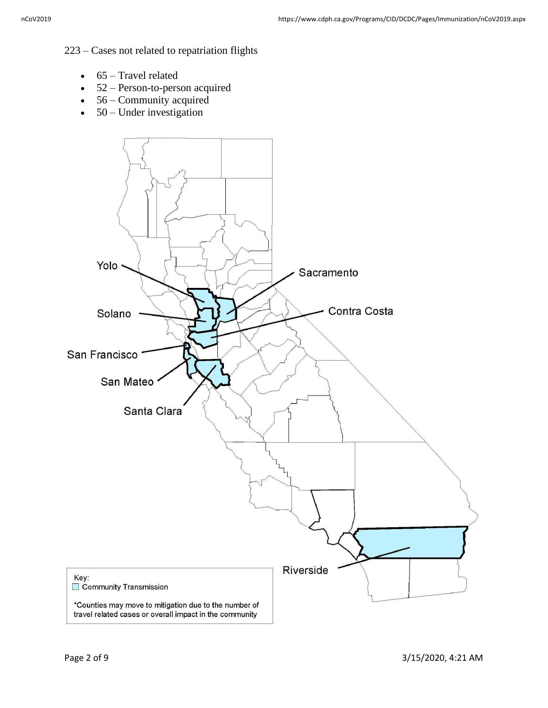#### 223 – Cases not related to repatriation flights

- $\bullet$  65 Travel related
- 52 Person-to-person acquired
- 56 Community acquired
- $\bullet$  50 Under investigation

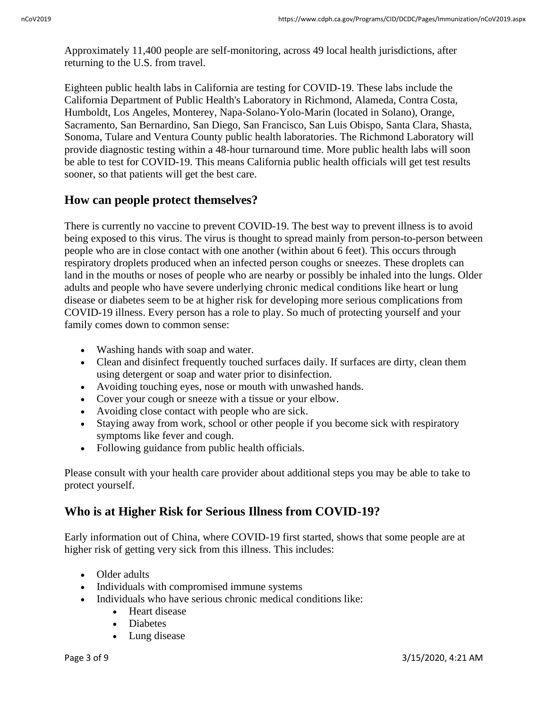Approximately 11,400 people are self-monitoring, across 49 local health jurisdictions, after returning to the U.S. from travel.

Eighteen public health labs in California are testing for COVID-19. These labs include the California Department of Public Health's Laboratory in Richmond, Alameda, Contra Costa, Humboldt, Los Angeles, Monterey, Napa-Solano-Yolo-Marin (located in Solano), Orange, Sacramento, San Bernardino, San Diego, San Francisco, San Luis Obispo, Santa Clara, Shasta, Sonoma, Tulare and Ventura County public health laboratories. The Richmond Laboratory will provide diagnostic testing within a 48-hour turnaround time. More public health labs will soon be able to test for COVID-19. This means California public health officials will get test results sooner, so that patients will get the best care.

## **How can people protect themselves?**

There is currently no vaccine to prevent COVID-19. The best way to prevent illness is to avoid being exposed to this virus. The virus is thought to spread mainly from person-to-person between people who are in close contact with one another (within about 6 feet). This occurs through respiratory droplets produced when an infected person coughs or sneezes. These droplets can land in the mouths or noses of people who are nearby or possibly be inhaled into the lungs. Older adults and people who have severe underlying chronic medical conditions like heart or lung disease or diabetes seem to be at higher risk for developing more serious complications from COVID-19 illness. Every person has a role to play. So much of protecting yourself and your family comes down to common sense:

- Washing hands with soap and water.
- Clean and disinfect frequently touched surfaces daily. If surfaces are dirty, clean them using detergent or soap and water prior to disinfection.
- Avoiding touching eyes, nose or mouth with unwashed hands.
- Cover your cough or sneeze with a tissue or your elbow.
- Avoiding close contact with people who are sick.
- Staying away from work, school or other people if you become sick with respiratory symptoms like fever and cough.
- Following guidance from public health officials.

Please consult with your health care provider about additional steps you may be able to take to protect yourself.

# **Who is at Higher Risk for Serious Illness from COVID-19?**

Early information out of China, where COVID-19 first started, shows that some people are at higher risk of getting very sick from this illness. This includes:

- Older adults
- Individuals with compromised immune systems
- Individuals who have serious chronic medical conditions like:
	- Heart disease
	- Diabetes
	- Lung disease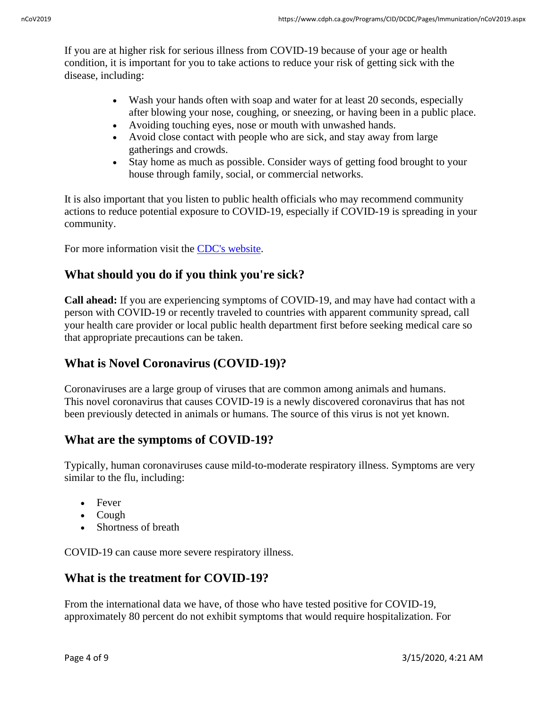If you are at higher risk for serious illness from COVID-19 because of your age or health condition, it is important for you to take actions to reduce your risk of getting sick with the disease, including:

- Wash your hands often with soap and water for at least 20 seconds, especially after blowing your nose, coughing, or sneezing, or having been in a public place.
- Avoiding touching eyes, nose or mouth with unwashed hands.
- Avoid close contact with people who are sick, and stay away from large gatherings and crowds.
- Stay home as much as possible. Consider ways of getting food brought to your house through family, social, or commercial networks.

It is also important that you listen to public health officials who may recommend community actions to reduce potential exposure to COVID-19, especially if COVID-19 is spreading in your community.

For more information visit the [CDC's website.](https://urldefense.proofpoint.com/v2/url?u=https-3A__gcc01.safelinks.protection.outlook.com_-3Furl-3Dhttps-253A-252F-252Furldefense.proofpoint.com-252Fv2-252Furl-253Fu-253Dhttps-2D3A-5F-5Fwww.cdc.gov-5Fcoronavirus-5F2019-2D2Dncov-5Fspecific-2D2Dgroups-5Fhigh-2D2Drisk-2D2Dcomplications.html-2526d-253DDwMFAg-2526c-253DLr0a7ed3egkbwePCNW4ROg-2526r-253Dlxj9wEtqoEBAma-2DTvya2HHzMHlIs09hc7DK0RmkepS4-2526m-253DV2EVxRMTi5FAHDCdmRHFtUjpfIcsPoV9Gr6n20dAmwM-2526s-253DjPgSs8PrxNImeRpRsS6ThZG41cHTT68xerAZhgShHYw-2526e-253D-26data-3D02-257C01-257CRodger.Butler-2540CHHS.CA.GOV-257C333b0df2a3b04298b3ff08d7c475a830-257C265c2dcd2a6e43aab2e826421a8c8526-257C0-257C0-257C637193881931550319-26sdata-3D1ZpwgACOG4mLCcu92UIEQa3evk2-252BsdS7xf97w03pIc4-253D-26reserved-3D0&d=DwMFAg&c=Lr0a7ed3egkbwePCNW4ROg&r=A8VAk1UqlhJEq2Og-b-nDxDHMjfghjmh7lKv268JP9I&m=8Faq2TFd13Q6GR3KgFju2VLsozgp8W9V8OBM9FIG4Y4&s=HQvG44tZ46a0QqG4yAJ-3XCE02YE9VANU3uOJjb6ci0&e=)

# **What should you do if you think you're sick?**

**Call ahead:** If you are experiencing symptoms of COVID-19, and may have had contact with a person with COVID-19 or recently traveled to countries with apparent community spread, call your health care provider or local public health department first before seeking medical care so that appropriate precautions can be taken.

# **What is Novel Coronavirus (COVID-19)?**

Coronaviruses are a large group of viruses that are common among animals and humans. This novel coronavirus that causes COVID-19 is a newly discovered coronavirus that has not been previously detected in animals or humans. The source of this virus is not yet known.

## **What are the symptoms of COVID-19?**

Typically, human coronaviruses cause mild-to-moderate respiratory illness. Symptoms are very similar to the flu, including:

- Fever
- Cough
- Shortness of breath

COVID-19 can cause more severe respiratory illness.

## **What is the treatment for COVID-19?**

From the international data we have, of those who have tested positive for COVID-19, approximately 80 percent do not exhibit symptoms that would require hospitalization. For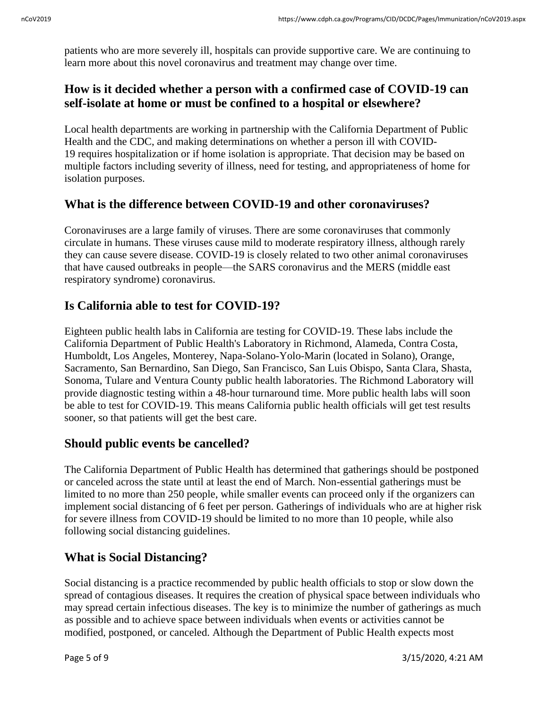patients who are more severely ill, hospitals can provide supportive care. We are continuing to learn more about this novel coronavirus and treatment may change over time.

# **How is it decided whether a person with a confirmed case of COVID-19 can self-isolate at home or must be confined to a hospital or elsewhere?**

Local health departments are working in partnership with the California Department of Public Health and the CDC, and making determinations on whether a person ill with COVID-19 requires hospitalization or if home isolation is appropriate. That decision may be based on multiple factors including severity of illness, need for testing, and appropriateness of home for isolation purposes.

# **What is the difference between COVID-19 and other coronaviruses?**

Coronaviruses are a large family of viruses. There are some coronaviruses that commonly circulate in humans. These viruses cause mild to moderate respiratory illness, although rarely they can cause severe disease. COVID-19 is closely related to two other animal coronaviruses that have caused outbreaks in people—the SARS coronavirus and the MERS (middle east respiratory syndrome) coronavirus.

# **Is California able to test for COVID-19?**

Eighteen public health labs in California are testing for COVID-19. These labs include the California Department of Public Health's Laboratory in Richmond, Alameda, Contra Costa, Humboldt, Los Angeles, Monterey, Napa-Solano-Yolo-Marin (located in Solano), Orange, Sacramento, San Bernardino, San Diego, San Francisco, San Luis Obispo, Santa Clara, Shasta, Sonoma, Tulare and Ventura County public health laboratories. The Richmond Laboratory will provide diagnostic testing within a 48-hour turnaround time. More public health labs will soon be able to test for COVID-19. This means California public health officials will get test results sooner, so that patients will get the best care.

## **Should public events be cancelled?**

The California Department of Public Health has determined that gatherings should be postponed or canceled across the state until at least the end of March. Non-essential gatherings must be limited to no more than 250 people, while smaller events can proceed only if the organizers can implement social distancing of 6 feet per person. Gatherings of individuals who are at higher risk for severe illness from COVID-19 should be limited to no more than 10 people, while also following social distancing guidelines.

# **What is Social Distancing?**

Social distancing is a practice recommended by public health officials to stop or slow down the spread of contagious diseases. It requires the creation of physical space between individuals who may spread certain infectious diseases. The key is to minimize the number of gatherings as much as possible and to achieve space between individuals when events or activities cannot be modified, postponed, or canceled. Although the Department of Public Health expects most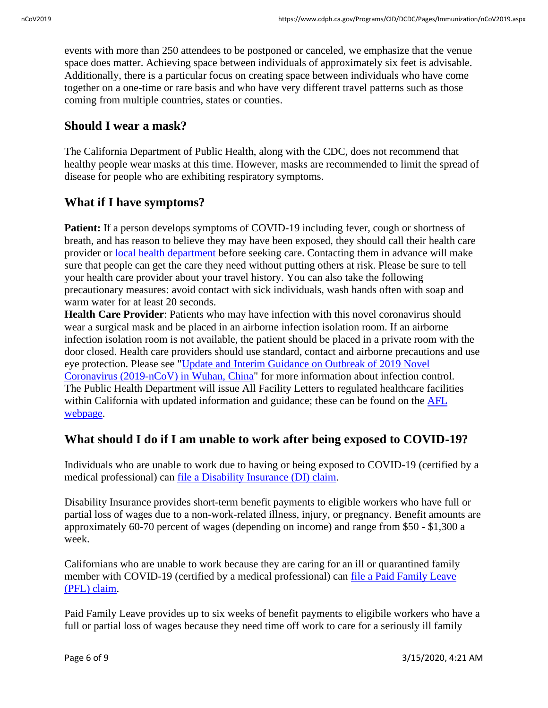events with more than 250 attendees to be postponed or canceled, we emphasize that the venue space does matter. Achieving space between individuals of approximately six feet is advisable. Additionally, there is a particular focus on creating space between individuals who have come together on a one-time or rare basis and who have very different travel patterns such as those coming from multiple countries, states or counties.

## **Should I wear a mask?**

The California Department of Public Health, along with the CDC, does not recommend that healthy people wear masks at this time. However, masks are recommended to limit the spread of disease for people who are exhibiting respiratory symptoms.

# **What if I have symptoms?**

**Patient:** If a person develops symptoms of COVID-19 including fever, cough or shortness of breath, and has reason to believe they may have been exposed, they should call their health care provider or [local health department](https://www.cdph.ca.gov/Programs/CCLHO/CDPH%20Document%20Library/LHD_CD_Contact_Info_ADA.pdf) before seeking care. Contacting them in advance will make sure that people can get the care they need without putting others at risk. Please be sure to tell your health care provider about your travel history. You can also take the following precautionary measures: avoid contact with sick individuals, wash hands often with soap and warm water for at least 20 seconds.

**Health Care Provider**: Patients who may have infection with this novel coronavirus should wear a surgical mask and be placed in an airborne infection isolation room. If an airborne infection isolation room is not available, the patient should be placed in a private room with the door closed. Health care providers should use standard, contact and airborne precautions and use eye protection. Please see ["Update and Interim Guidance on Outbreak of 2019 Novel](https://emergency.cdc.gov/han/han00426.asp)  [Coronavirus \(2019-nCoV\) in Wuhan, China"](https://emergency.cdc.gov/han/han00426.asp) for more information about infection control. The Public Health Department will issue All Facility Letters to regulated healthcare facilities within California with updated information and guidance; these can be found on the [AFL](https://www.cdph.ca.gov/Programs/CHCQ/LCP/Pages/LNCAFL20.aspx)  [webpage.](https://www.cdph.ca.gov/Programs/CHCQ/LCP/Pages/LNCAFL20.aspx)

# **What should I do if I am unable to work after being exposed to COVID-19?**

Individuals who are unable to work due to having or being exposed to COVID-19 (certified by a medical professional) can [file a Disability Insurance \(DI\) claim.](https://edd.ca.gov/Disability/How_to_File_a_DI_Claim_in_SDI_Online.htm/t_blank)

Disability Insurance provides short-term benefit payments to eligible workers who have full or partial loss of wages due to a non-work-related illness, injury, or pregnancy. Benefit amounts are approximately 60-70 percent of wages (depending on income) and range from \$50 - \$1,300 a week.

Californians who are unable to work because they are caring for an ill or quarantined family member with COVID-19 (certified by a medical professional) can [file a Paid Family Leave](https://edd.ca.gov/Disability/How_to_File_a_PFL_Claim_in_SDI_Online.htm/t_blank)  [\(PFL\) claim.](https://edd.ca.gov/Disability/How_to_File_a_PFL_Claim_in_SDI_Online.htm/t_blank)

Paid Family Leave provides up to six weeks of benefit payments to eligibile workers who have a full or partial loss of wages because they need time off work to care for a seriously ill family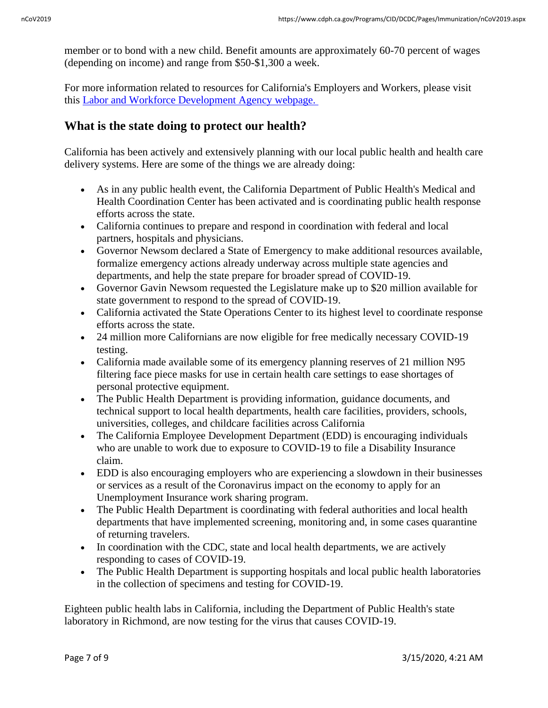member or to bond with a new child. Benefit amounts are approximately 60-70 percent of wages (depending on income) and range from \$50-\$1,300 a week.

For more information related to resources for California's Employers and Workers, please visit this [Labor and Workforce Development Agency](https://www.labor.ca.gov/coronavirus2019/) webpage.

## **What is the state doing to protect our health?**

California has been actively and extensively planning with our local public health and health care delivery systems. Here are some of the things we are already doing:

- As in any public health event, the California Department of Public Health's Medical and Health Coordination Center has been activated and is coordinating public health response efforts across the state.
- California continues to prepare and respond in coordination with federal and local partners, hospitals and physicians.
- Governor Newsom declared a State of Emergency to make additional resources available, formalize emergency actions already underway across multiple state agencies and departments, and help the state prepare for broader spread of COVID-19.
- Governor Gavin Newsom requested the Legislature make up to \$20 million available for state government to respond to the spread of COVID-19.
- California activated the State Operations Center to its highest level to coordinate response efforts across the state.
- 24 million more Californians are now eligible for free medically necessary COVID-19 testing.
- California made available some of its emergency planning reserves of 21 million N95 filtering face piece masks for use in certain health care settings to ease shortages of personal protective equipment.
- The Public Health Department is providing information, guidance documents, and technical support to local health departments, health care facilities, providers, schools, universities, colleges, and childcare facilities across California
- The California Employee Development Department (EDD) is encouraging individuals who are unable to work due to exposure to COVID-19 to file a Disability Insurance claim.
- EDD is also encouraging employers who are experiencing a slowdown in their businesses or services as a result of the Coronavirus impact on the economy to apply for an Unemployment Insurance work sharing program.
- The Public Health Department is coordinating with federal authorities and local health departments that have implemented screening, monitoring and, in some cases quarantine of returning travelers.
- In coordination with the CDC, state and local health departments, we are actively responding to cases of COVID-19.
- The Public Health Department is supporting hospitals and local public health laboratories in the collection of specimens and testing for COVID-19.

Eighteen public health labs in California, including the Department of Public Health's state laboratory in Richmond, are now testing for the virus that causes COVID-19.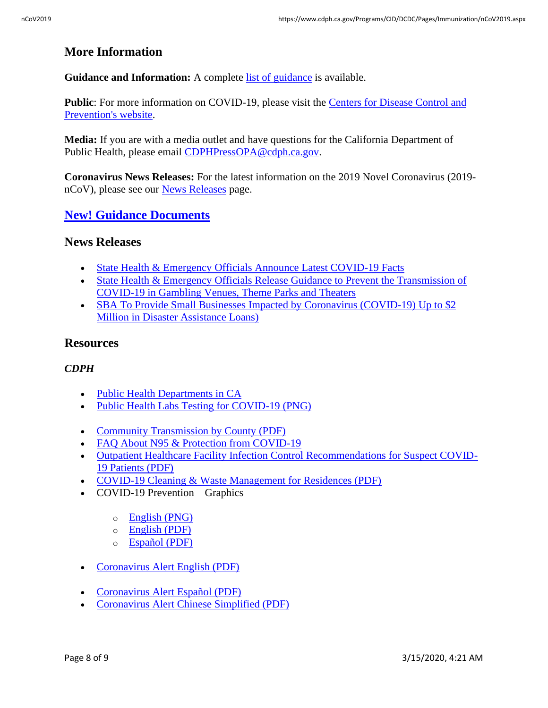## **More Information**

**Guidance and Information:** A complete [list of guidance](https://www.cdph.ca.gov/Programs/CID/DCDC/Pages/Guidance.aspx) is available.

Public: For more information on COVID-19, please visit the Centers for Disease Control and [Prevention's website.](https://www.cdc.gov/coronavirus/2019-ncov/index.html)

**Media:** If you are with a media outlet and have questions for the California Department of Public Health, please email [CDPHPressOPA@cdph.ca.gov.](mailto:CDPHPressOPA@cdph.ca.gov)

**Coronavirus News Releases:** For the latest information on the 2019 Novel Coronavirus (2019 nCoV), please see our [News Releases](https://www.cdph.ca.gov/Programs/OPA/Pages/New-Release-2020.aspx) page.

#### **New! [Guidance Documents](https://www.cdph.ca.gov/Programs/CID/DCDC/Pages/Guidance.aspx)**

#### **News Releases**

- [State Health & Emergency Officials Announce Latest COVID-19 Facts](https://www.cdph.ca.gov/Programs/OPA/Pages/NR20-022.aspx)
- State Health & Emergency Officials Release Guidance to Prevent the Transmission of [COVID-19 in Gambling Venues, Theme Parks and Theaters](https://www.cdph.ca.gov/Programs/OPA/Pages/NR20-021.aspx)
- SBA To Provide Small Businesses Impacted by Coronavirus (COVID-19) Up to \$2 [Million in Disaster Assistance Loans\)](http://www.oesnews.com/sba-to-provide-small-businesses-impacted-by-coronavirus-covid-19-up-to-2-million-in-disaster-assistance-loans/)

#### **Resources**

#### *CDPH*

- [Public Health Departments in CA](https://www.cdph.ca.gov/Pages/LocalHealthServicesAndOffices.aspx)
- [Public Health Labs Testing for COVID-19 \(PNG\)](https://www.cdph.ca.gov/Programs/CID/DCDC/CDPH%20Document%20Library/COVID-19_CA_Map_03.11.20.png)
- [Community Transmission by County \(PDF\)](https://www.cdph.ca.gov/Programs/CID/DCDC/CDPH%20Document%20Library/COVID-19/CACommunityTransmissionbyCounty.pdf)
- FAO About N95 & Protection from COVID-19
- [Outpatient Healthcare Facility Infection Control Recommendations for Suspect COVID-](https://www.cdph.ca.gov/Programs/CID/DCDC/CDPH%20Document%20Library/OutpatientHCFInfectionCtrlRecSuspectCOVID-19Patients.pdf)[19 Patients \(PDF\)](https://www.cdph.ca.gov/Programs/CID/DCDC/CDPH%20Document%20Library/OutpatientHCFInfectionCtrlRecSuspectCOVID-19Patients.pdf)
- [COVID-19 Cleaning & Waste Management for Residences \(PDF\)](https://www.cdph.ca.gov/Programs/CEH/DRSEM/CDPH%20Document%20Library/EMB/MedicalWaste/COVID-19%20Cleaning%20and%20Waste%20Management%20for%20Residences%20030220.pdf)
- COVID-19 Prevention Graphics
	- o [English \(PNG\)](https://www.cdph.ca.gov/Programs/CID/DCDC/PublishingImages/COVID-19/CORONAVIRUS-FINAL-2.png)
	- o [English \(PDF\)](https://www.cdph.ca.gov/Programs/CID/DCDC/CDPH%20Document%20Library/COVID-19/COVID19-ProtectYourselfandOthers.pdf)
	- o [Español](https://www.cdph.ca.gov/Programs/CID/DCDC/CDPH%20Document%20Library/Covid19-Poster-SPANISH.pdf) (PDF)
- [Coronavirus Alert English \(PDF\)](https://www.cdph.ca.gov/Programs/CID/DCDC/CDPH%20Document%20Library/Coronavirus_Alert_English.pdf)
- [Coronavirus Alert Español](https://www.cdph.ca.gov/Programs/CID/DCDC/CDPH%20Document%20Library/Spanish_Coronavirus_poster.pdf) (PDF)
- [Coronavirus Alert Chinese Simplified \(PDF\)](https://www.cdph.ca.gov/Programs/CID/DCDC/CDPH%20Document%20Library/Chinese_coronavirus_poster.pdf)